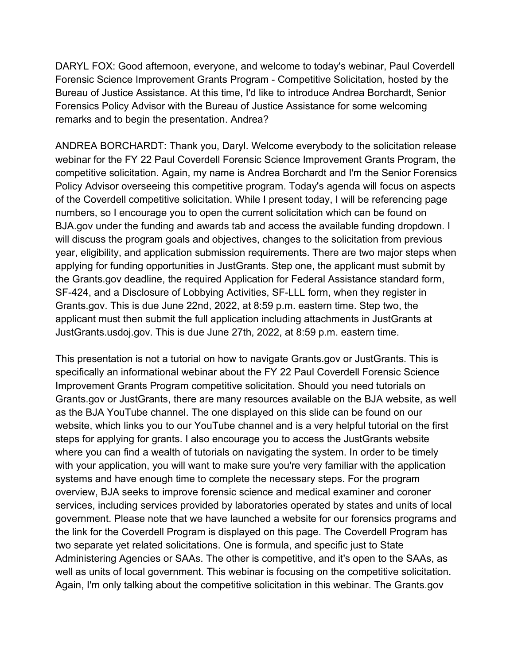DARYL FOX: Good afternoon, everyone, and welcome to today's webinar, Paul Coverdell Forensic Science Improvement Grants Program - Competitive Solicitation, hosted by the Bureau of Justice Assistance. At this time, I'd like to introduce Andrea Borchardt, Senior Forensics Policy Advisor with the Bureau of Justice Assistance for some welcoming remarks and to begin the presentation. Andrea?

ANDREA BORCHARDT: Thank you, Daryl. Welcome everybody to the solicitation release webinar for the FY 22 Paul Coverdell Forensic Science Improvement Grants Program, the competitive solicitation. Again, my name is Andrea Borchardt and I'm the Senior Forensics Policy Advisor overseeing this competitive program. Today's agenda will focus on aspects of the Coverdell competitive solicitation. While I present today, I will be referencing page numbers, so I encourage you to open the current solicitation which can be found on BJA.gov under the funding and awards tab and access the available funding dropdown. I will discuss the program goals and objectives, changes to the solicitation from previous year, eligibility, and application submission requirements. There are two major steps when applying for funding opportunities in JustGrants. Step one, the applicant must submit by the Grants.gov deadline, the required Application for Federal Assistance standard form, SF-424, and a Disclosure of Lobbying Activities, SF-LLL form, when they register in Grants.gov. This is due June 22nd, 2022, at 8:59 p.m. eastern time. Step two, the applicant must then submit the full application including attachments in JustGrants at JustGrants.usdoj.gov. This is due June 27th, 2022, at 8:59 p.m. eastern time.

This presentation is not a tutorial on how to navigate Grants.gov or JustGrants. This is specifically an informational webinar about the FY 22 Paul Coverdell Forensic Science Improvement Grants Program competitive solicitation. Should you need tutorials on Grants.gov or JustGrants, there are many resources available on the BJA website, as well as the BJA YouTube channel. The one displayed on this slide can be found on our website, which links you to our YouTube channel and is a very helpful tutorial on the first steps for applying for grants. I also encourage you to access the JustGrants website where you can find a wealth of tutorials on navigating the system. In order to be timely with your application, you will want to make sure you're very familiar with the application systems and have enough time to complete the necessary steps. For the program overview, BJA seeks to improve forensic science and medical examiner and coroner services, including services provided by laboratories operated by states and units of local government. Please note that we have launched a website for our forensics programs and the link for the Coverdell Program is displayed on this page. The Coverdell Program has two separate yet related solicitations. One is formula, and specific just to State Administering Agencies or SAAs. The other is competitive, and it's open to the SAAs, as well as units of local government. This webinar is focusing on the competitive solicitation. Again, I'm only talking about the competitive solicitation in this webinar. The Grants.gov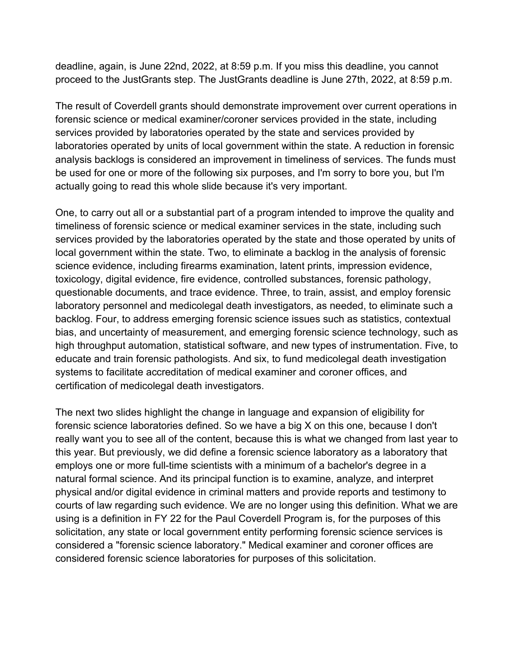deadline, again, is June 22nd, 2022, at 8:59 p.m. If you miss this deadline, you cannot proceed to the JustGrants step. The JustGrants deadline is June 27th, 2022, at 8:59 p.m.

The result of Coverdell grants should demonstrate improvement over current operations in forensic science or medical examiner/coroner services provided in the state, including services provided by laboratories operated by the state and services provided by laboratories operated by units of local government within the state. A reduction in forensic analysis backlogs is considered an improvement in timeliness of services. The funds must be used for one or more of the following six purposes, and I'm sorry to bore you, but I'm actually going to read this whole slide because it's very important.

One, to carry out all or a substantial part of a program intended to improve the quality and timeliness of forensic science or medical examiner services in the state, including such services provided by the laboratories operated by the state and those operated by units of local government within the state. Two, to eliminate a backlog in the analysis of forensic science evidence, including firearms examination, latent prints, impression evidence, toxicology, digital evidence, fire evidence, controlled substances, forensic pathology, questionable documents, and trace evidence. Three, to train, assist, and employ forensic laboratory personnel and medicolegal death investigators, as needed, to eliminate such a backlog. Four, to address emerging forensic science issues such as statistics, contextual bias, and uncertainty of measurement, and emerging forensic science technology, such as high throughput automation, statistical software, and new types of instrumentation. Five, to educate and train forensic pathologists. And six, to fund medicolegal death investigation systems to facilitate accreditation of medical examiner and coroner offices, and certification of medicolegal death investigators.

The next two slides highlight the change in language and expansion of eligibility for forensic science laboratories defined. So we have a big X on this one, because I don't really want you to see all of the content, because this is what we changed from last year to this year. But previously, we did define a forensic science laboratory as a laboratory that employs one or more full-time scientists with a minimum of a bachelor's degree in a natural formal science. And its principal function is to examine, analyze, and interpret physical and/or digital evidence in criminal matters and provide reports and testimony to courts of law regarding such evidence. We are no longer using this definition. What we are using is a definition in FY 22 for the Paul Coverdell Program is, for the purposes of this solicitation, any state or local government entity performing forensic science services is considered a "forensic science laboratory." Medical examiner and coroner offices are considered forensic science laboratories for purposes of this solicitation.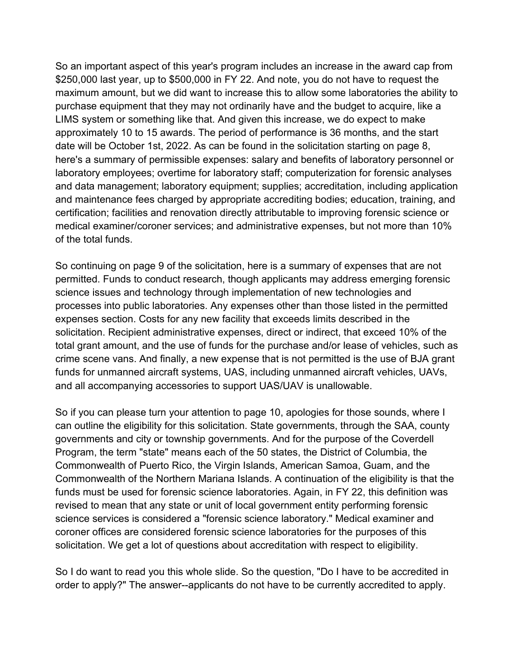So an important aspect of this year's program includes an increase in the award cap from \$250,000 last year, up to \$500,000 in FY 22. And note, you do not have to request the maximum amount, but we did want to increase this to allow some laboratories the ability to purchase equipment that they may not ordinarily have and the budget to acquire, like a LIMS system or something like that. And given this increase, we do expect to make approximately 10 to 15 awards. The period of performance is 36 months, and the start date will be October 1st, 2022. As can be found in the solicitation starting on page 8, here's a summary of permissible expenses: salary and benefits of laboratory personnel or laboratory employees; overtime for laboratory staff; computerization for forensic analyses and data management; laboratory equipment; supplies; accreditation, including application and maintenance fees charged by appropriate accrediting bodies; education, training, and certification; facilities and renovation directly attributable to improving forensic science or medical examiner/coroner services; and administrative expenses, but not more than 10% of the total funds.

So continuing on page 9 of the solicitation, here is a summary of expenses that are not permitted. Funds to conduct research, though applicants may address emerging forensic science issues and technology through implementation of new technologies and processes into public laboratories. Any expenses other than those listed in the permitted expenses section. Costs for any new facility that exceeds limits described in the solicitation. Recipient administrative expenses, direct or indirect, that exceed 10% of the total grant amount, and the use of funds for the purchase and/or lease of vehicles, such as crime scene vans. And finally, a new expense that is not permitted is the use of BJA grant funds for unmanned aircraft systems, UAS, including unmanned aircraft vehicles, UAVs, and all accompanying accessories to support UAS/UAV is unallowable.

So if you can please turn your attention to page 10, apologies for those sounds, where I can outline the eligibility for this solicitation. State governments, through the SAA, county governments and city or township governments. And for the purpose of the Coverdell Program, the term "state" means each of the 50 states, the District of Columbia, the Commonwealth of Puerto Rico, the Virgin Islands, American Samoa, Guam, and the Commonwealth of the Northern Mariana Islands. A continuation of the eligibility is that the funds must be used for forensic science laboratories. Again, in FY 22, this definition was revised to mean that any state or unit of local government entity performing forensic science services is considered a "forensic science laboratory." Medical examiner and coroner offices are considered forensic science laboratories for the purposes of this solicitation. We get a lot of questions about accreditation with respect to eligibility.

So I do want to read you this whole slide. So the question, "Do I have to be accredited in order to apply?" The answer--applicants do not have to be currently accredited to apply.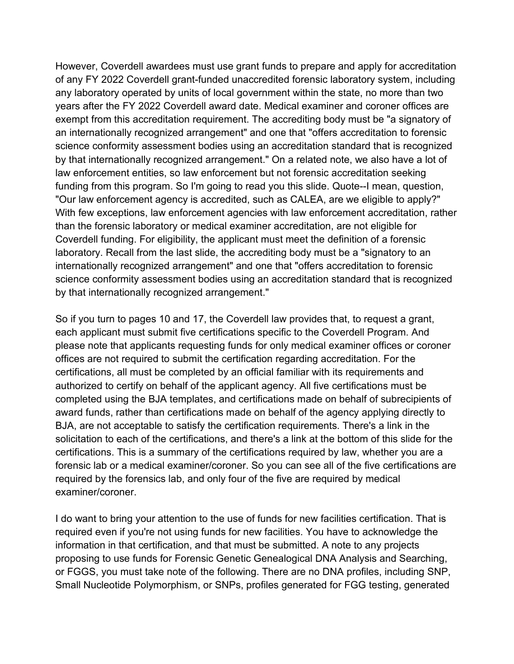However, Coverdell awardees must use grant funds to prepare and apply for accreditation of any FY 2022 Coverdell grant-funded unaccredited forensic laboratory system, including any laboratory operated by units of local government within the state, no more than two years after the FY 2022 Coverdell award date. Medical examiner and coroner offices are exempt from this accreditation requirement. The accrediting body must be "a signatory of an internationally recognized arrangement" and one that "offers accreditation to forensic science conformity assessment bodies using an accreditation standard that is recognized by that internationally recognized arrangement." On a related note, we also have a lot of law enforcement entities, so law enforcement but not forensic accreditation seeking funding from this program. So I'm going to read you this slide. Quote--I mean, question, "Our law enforcement agency is accredited, such as CALEA, are we eligible to apply?" With few exceptions, law enforcement agencies with law enforcement accreditation, rather than the forensic laboratory or medical examiner accreditation, are not eligible for Coverdell funding. For eligibility, the applicant must meet the definition of a forensic laboratory. Recall from the last slide, the accrediting body must be a "signatory to an internationally recognized arrangement" and one that "offers accreditation to forensic science conformity assessment bodies using an accreditation standard that is recognized by that internationally recognized arrangement."

So if you turn to pages 10 and 17, the Coverdell law provides that, to request a grant, each applicant must submit five certifications specific to the Coverdell Program. And please note that applicants requesting funds for only medical examiner offices or coroner offices are not required to submit the certification regarding accreditation. For the certifications, all must be completed by an official familiar with its requirements and authorized to certify on behalf of the applicant agency. All five certifications must be completed using the BJA templates, and certifications made on behalf of subrecipients of award funds, rather than certifications made on behalf of the agency applying directly to BJA, are not acceptable to satisfy the certification requirements. There's a link in the solicitation to each of the certifications, and there's a link at the bottom of this slide for the certifications. This is a summary of the certifications required by law, whether you are a forensic lab or a medical examiner/coroner. So you can see all of the five certifications are required by the forensics lab, and only four of the five are required by medical examiner/coroner.

I do want to bring your attention to the use of funds for new facilities certification. That is required even if you're not using funds for new facilities. You have to acknowledge the information in that certification, and that must be submitted. A note to any projects proposing to use funds for Forensic Genetic Genealogical DNA Analysis and Searching, or FGGS, you must take note of the following. There are no DNA profiles, including SNP, Small Nucleotide Polymorphism, or SNPs, profiles generated for FGG testing, generated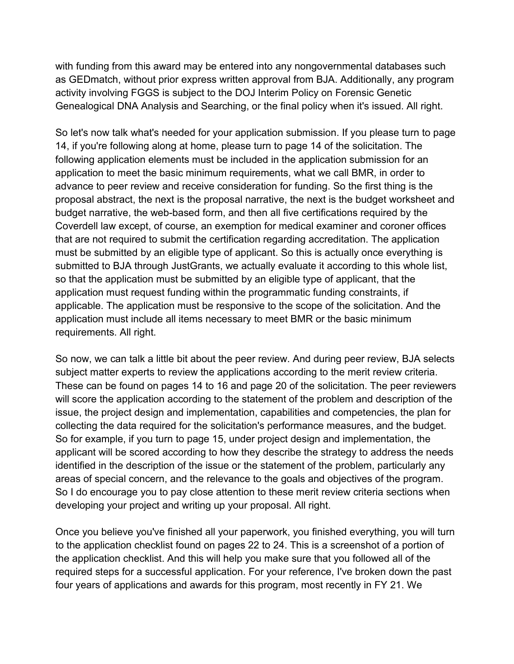with funding from this award may be entered into any nongovernmental databases such as GEDmatch, without prior express written approval from BJA. Additionally, any program activity involving FGGS is subject to the DOJ Interim Policy on Forensic Genetic Genealogical DNA Analysis and Searching, or the final policy when it's issued. All right.

So let's now talk what's needed for your application submission. If you please turn to page 14, if you're following along at home, please turn to page 14 of the solicitation. The following application elements must be included in the application submission for an application to meet the basic minimum requirements, what we call BMR, in order to advance to peer review and receive consideration for funding. So the first thing is the proposal abstract, the next is the proposal narrative, the next is the budget worksheet and budget narrative, the web-based form, and then all five certifications required by the Coverdell law except, of course, an exemption for medical examiner and coroner offices that are not required to submit the certification regarding accreditation. The application must be submitted by an eligible type of applicant. So this is actually once everything is submitted to BJA through JustGrants, we actually evaluate it according to this whole list, so that the application must be submitted by an eligible type of applicant, that the application must request funding within the programmatic funding constraints, if applicable. The application must be responsive to the scope of the solicitation. And the application must include all items necessary to meet BMR or the basic minimum requirements. All right.

So now, we can talk a little bit about the peer review. And during peer review, BJA selects subject matter experts to review the applications according to the merit review criteria. These can be found on pages 14 to 16 and page 20 of the solicitation. The peer reviewers will score the application according to the statement of the problem and description of the issue, the project design and implementation, capabilities and competencies, the plan for collecting the data required for the solicitation's performance measures, and the budget. So for example, if you turn to page 15, under project design and implementation, the applicant will be scored according to how they describe the strategy to address the needs identified in the description of the issue or the statement of the problem, particularly any areas of special concern, and the relevance to the goals and objectives of the program. So I do encourage you to pay close attention to these merit review criteria sections when developing your project and writing up your proposal. All right.

Once you believe you've finished all your paperwork, you finished everything, you will turn to the application checklist found on pages 22 to 24. This is a screenshot of a portion of the application checklist. And this will help you make sure that you followed all of the required steps for a successful application. For your reference, I've broken down the past four years of applications and awards for this program, most recently in FY 21. We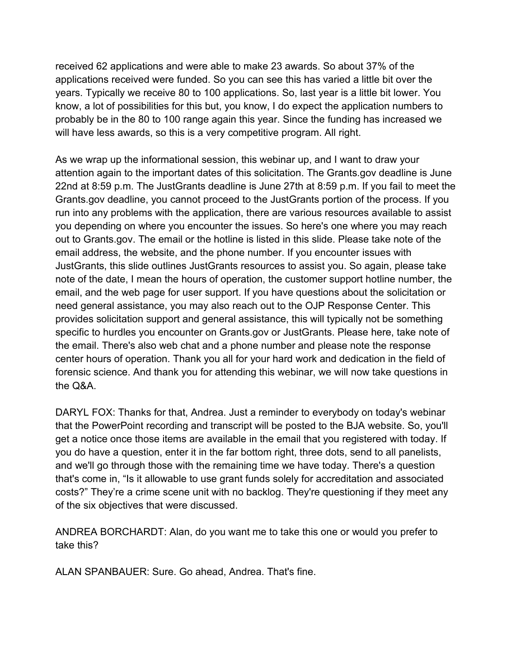received 62 applications and were able to make 23 awards. So about 37% of the applications received were funded. So you can see this has varied a little bit over the years. Typically we receive 80 to 100 applications. So, last year is a little bit lower. You know, a lot of possibilities for this but, you know, I do expect the application numbers to probably be in the 80 to 100 range again this year. Since the funding has increased we will have less awards, so this is a very competitive program. All right.

As we wrap up the informational session, this webinar up, and I want to draw your attention again to the important dates of this solicitation. The Grants.gov deadline is June 22nd at 8:59 p.m. The JustGrants deadline is June 27th at 8:59 p.m. If you fail to meet the Grants.gov deadline, you cannot proceed to the JustGrants portion of the process. If you run into any problems with the application, there are various resources available to assist you depending on where you encounter the issues. So here's one where you may reach out to Grants.gov. The email or the hotline is listed in this slide. Please take note of the email address, the website, and the phone number. If you encounter issues with JustGrants, this slide outlines JustGrants resources to assist you. So again, please take note of the date, I mean the hours of operation, the customer support hotline number, the email, and the web page for user support. If you have questions about the solicitation or need general assistance, you may also reach out to the OJP Response Center. This provides solicitation support and general assistance, this will typically not be something specific to hurdles you encounter on Grants.gov or JustGrants. Please here, take note of the email. There's also web chat and a phone number and please note the response center hours of operation. Thank you all for your hard work and dedication in the field of forensic science. And thank you for attending this webinar, we will now take questions in the Q&A.

DARYL FOX: Thanks for that, Andrea. Just a reminder to everybody on today's webinar that the PowerPoint recording and transcript will be posted to the BJA website. So, you'll get a notice once those items are available in the email that you registered with today. If you do have a question, enter it in the far bottom right, three dots, send to all panelists, and we'll go through those with the remaining time we have today. There's a question that's come in, "Is it allowable to use grant funds solely for accreditation and associated costs?" They're a crime scene unit with no backlog. They're questioning if they meet any of the six objectives that were discussed.

ANDREA BORCHARDT: Alan, do you want me to take this one or would you prefer to take this?

ALAN SPANBAUER: Sure. Go ahead, Andrea. That's fine.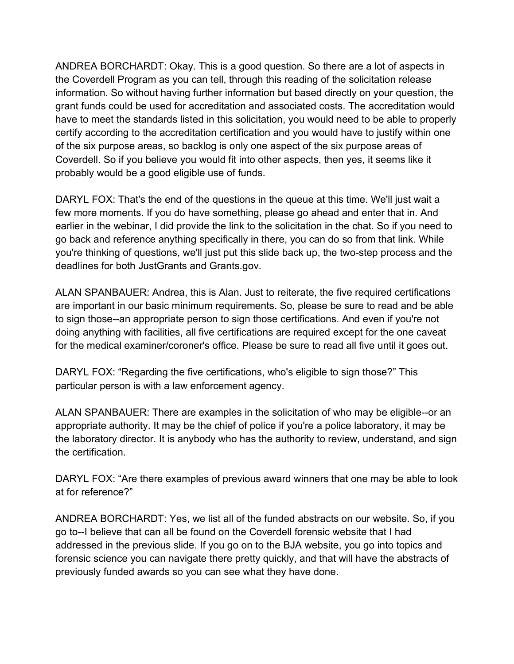ANDREA BORCHARDT: Okay. This is a good question. So there are a lot of aspects in the Coverdell Program as you can tell, through this reading of the solicitation release information. So without having further information but based directly on your question, the grant funds could be used for accreditation and associated costs. The accreditation would have to meet the standards listed in this solicitation, you would need to be able to properly certify according to the accreditation certification and you would have to justify within one of the six purpose areas, so backlog is only one aspect of the six purpose areas of Coverdell. So if you believe you would fit into other aspects, then yes, it seems like it probably would be a good eligible use of funds.

DARYL FOX: That's the end of the questions in the queue at this time. We'll just wait a few more moments. If you do have something, please go ahead and enter that in. And earlier in the webinar, I did provide the link to the solicitation in the chat. So if you need to go back and reference anything specifically in there, you can do so from that link. While you're thinking of questions, we'll just put this slide back up, the two-step process and the deadlines for both JustGrants and Grants.gov.

ALAN SPANBAUER: Andrea, this is Alan. Just to reiterate, the five required certifications are important in our basic minimum requirements. So, please be sure to read and be able to sign those--an appropriate person to sign those certifications. And even if you're not doing anything with facilities, all five certifications are required except for the one caveat for the medical examiner/coroner's office. Please be sure to read all five until it goes out.

DARYL FOX: "Regarding the five certifications, who's eligible to sign those?" This particular person is with a law enforcement agency.

ALAN SPANBAUER: There are examples in the solicitation of who may be eligible--or an appropriate authority. It may be the chief of police if you're a police laboratory, it may be the laboratory director. It is anybody who has the authority to review, understand, and sign the certification.

DARYL FOX: "Are there examples of previous award winners that one may be able to look at for reference?"

ANDREA BORCHARDT: Yes, we list all of the funded abstracts on our website. So, if you go to--I believe that can all be found on the Coverdell forensic website that I had addressed in the previous slide. If you go on to the BJA website, you go into topics and forensic science you can navigate there pretty quickly, and that will have the abstracts of previously funded awards so you can see what they have done.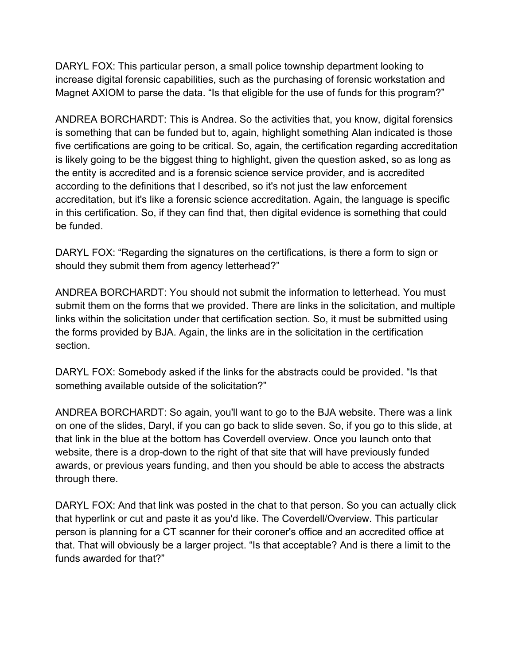DARYL FOX: This particular person, a small police township department looking to increase digital forensic capabilities, such as the purchasing of forensic workstation and Magnet AXIOM to parse the data. "Is that eligible for the use of funds for this program?"

ANDREA BORCHARDT: This is Andrea. So the activities that, you know, digital forensics is something that can be funded but to, again, highlight something Alan indicated is those five certifications are going to be critical. So, again, the certification regarding accreditation is likely going to be the biggest thing to highlight, given the question asked, so as long as the entity is accredited and is a forensic science service provider, and is accredited according to the definitions that I described, so it's not just the law enforcement accreditation, but it's like a forensic science accreditation. Again, the language is specific in this certification. So, if they can find that, then digital evidence is something that could be funded.

DARYL FOX: "Regarding the signatures on the certifications, is there a form to sign or should they submit them from agency letterhead?"

ANDREA BORCHARDT: You should not submit the information to letterhead. You must submit them on the forms that we provided. There are links in the solicitation, and multiple links within the solicitation under that certification section. So, it must be submitted using the forms provided by BJA. Again, the links are in the solicitation in the certification section.

DARYL FOX: Somebody asked if the links for the abstracts could be provided. "Is that something available outside of the solicitation?"

ANDREA BORCHARDT: So again, you'll want to go to the BJA website. There was a link on one of the slides, Daryl, if you can go back to slide seven. So, if you go to this slide, at that link in the blue at the bottom has Coverdell overview. Once you launch onto that website, there is a drop-down to the right of that site that will have previously funded awards, or previous years funding, and then you should be able to access the abstracts through there.

DARYL FOX: And that link was posted in the chat to that person. So you can actually click that hyperlink or cut and paste it as you'd like. The Coverdell/Overview. This particular person is planning for a CT scanner for their coroner's office and an accredited office at that. That will obviously be a larger project. "Is that acceptable? And is there a limit to the funds awarded for that?"